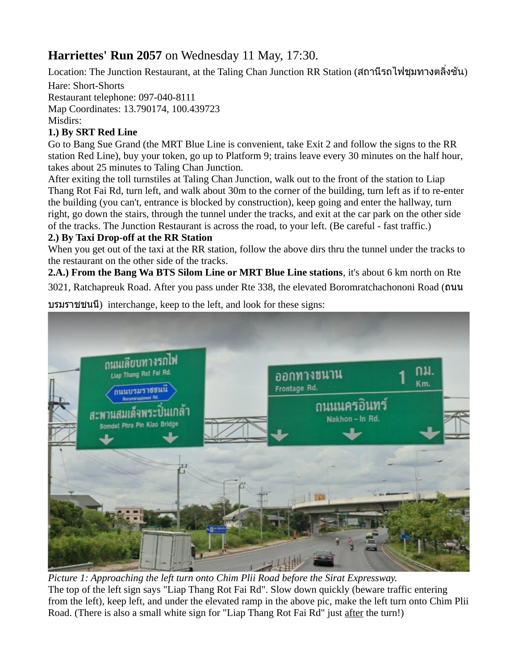## **Harriettes' Run 2057** on Wednesday 11 May, 17:30.

Location: The Junction Restaurant, at the Taling Chan Junction RR Station (สถานีรถไฟชุมทางตลิ่งชัน) Hare: Short-Shorts Restaurant telephone: 097-040-8111 Map Coordinates: 13.790174, 100.439723

Misdirs:

## **1.) By SRT Red Line**

Go to Bang Sue Grand (the MRT Blue Line is convenient, take Exit 2 and follow the signs to the RR station Red Line), buy your token, go up to Platform 9; trains leave every 30 minutes on the half hour, takes about 25 minutes to Taling Chan Junction.

After exiting the toll turnstiles at Taling Chan Junction, walk out to the front of the station to Liap Thang Rot Fai Rd, turn left, and walk about 30m to the corner of the building, turn left as if to re-enter the building (you can't, entrance is blocked by construction), keep going and enter the hallway, turn right, go down the stairs, through the tunnel under the tracks, and exit at the car park on the other side of the tracks. The Junction Restaurant is across the road, to your left. (Be careful - fast traffic.)

## **2.) By Taxi Drop-off at the RR Station**

When you get out of the taxi at the RR station, follow the above dirs thru the tunnel under the tracks to the restaurant on the other side of the tracks.

**2.A.) From the Bang Wa BTS Silom Line or MRT Blue Line stations**, it's about 6 km north on Rte 3021, Ratchapreuk Road. After you pass under Rte 338, the elevated Boromratchachononi Road (ถนน

ดนนเลียบทางรถไฟ ออกทางขนาน กม. Liap Thang Rot Fal Rd Km. Frontage Rd. กนนบรมราชชนนี ึกนนนครอินทร์ สะพานสมเด็จพระปินเกล้า Nakhon - In Rd. det Phra Pin Klao Bridge

บรมราชชนนี) interchange, keep to the left, and look for these signs:

*Picture 1: Approaching the left turn onto Chim Plii Road before the Sirat Expressway.* The top of the left sign says "Liap Thang Rot Fai Rd". Slow down quickly (beware traffic entering from the left), keep left, and under the elevated ramp in the above pic, make the left turn onto Chim Plii Road. (There is also a small white sign for "Liap Thang Rot Fai Rd" just after the turn!)